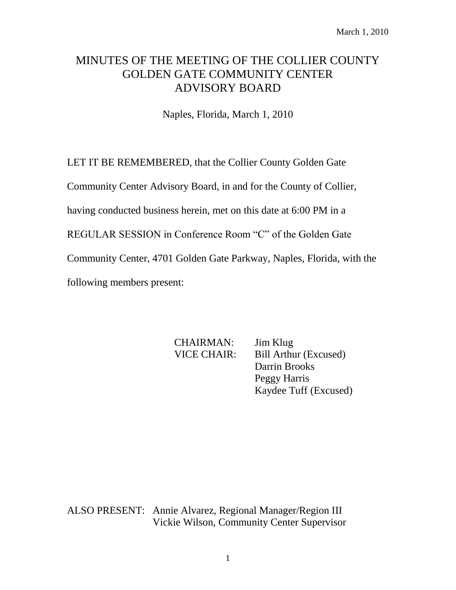# MINUTES OF THE MEETING OF THE COLLIER COUNTY GOLDEN GATE COMMUNITY CENTER ADVISORY BOARD

Naples, Florida, March 1, 2010

LET IT BE REMEMBERED, that the Collier County Golden Gate

Community Center Advisory Board, in and for the County of Collier,

having conducted business herein, met on this date at 6:00 PM in a

REGULAR SESSION in Conference Room "C" of the Golden Gate

Community Center, 4701 Golden Gate Parkway, Naples, Florida, with the

following members present:

CHAIRMAN: Jim Klug

VICE CHAIR: Bill Arthur (Excused) Darrin Brooks Peggy Harris Kaydee Tuff (Excused)

ALSO PRESENT: Annie Alvarez, Regional Manager/Region III Vickie Wilson, Community Center Supervisor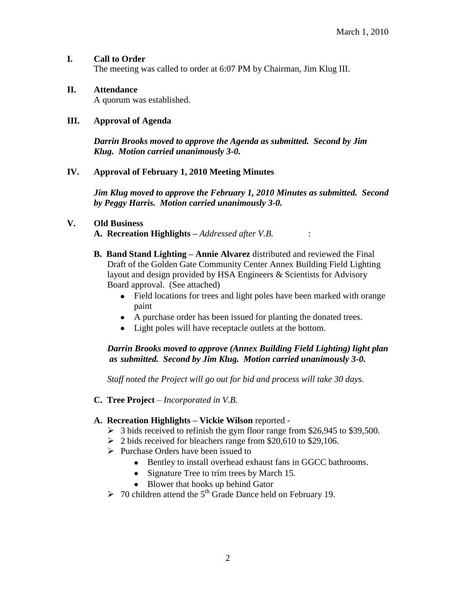#### **I. Call to Order**

The meeting was called to order at 6:07 PM by Chairman, Jim Klug III.

## **II. Attendance**

A quorum was established.

#### **III. Approval of Agenda**

*Darrin Brooks moved to approve the Agenda as submitted. Second by Jim Klug. Motion carried unanimously 3-0.*

#### **IV. Approval of February 1, 2010 Meeting Minutes**

*Jim Klug moved to approve the February 1, 2010 Minutes as submitted. Second by Peggy Harris. Motion carried unanimously 3-0.*

#### **V. Old Business**

**A. Recreation Highlights –** *Addressed after V.B.* :

- **B. Band Stand Lighting – Annie Alvarez** distributed and reviewed the Final Draft of the Golden Gate Community Center Annex Building Field Lighting layout and design provided by HSA Engineers & Scientists for Advisory Board approval. (See attached)
	- Field locations for trees and light poles have been marked with orange paint
	- A purchase order has been issued for planting the donated trees.
	- Light poles will have receptacle outlets at the bottom.

## *Darrin Brooks moved to approve (Annex Building Field Lighting) light plan as submitted. Second by Jim Klug. Motion carried unanimously 3-0.*

*Staff noted the Project will go out for bid and process will take 30 days.* 

**C. Tree Project** *– Incorporated in V.B.*

## **A. Recreation Highlights – Vickie Wilson** reported -

- $\geq$  3 bids received to refinish the gym floor range from \$26,945 to \$39,500.
- $\geq$  2 bids received for bleachers range from \$20,610 to \$29,106.
- $\triangleright$  Purchase Orders have been issued to
	- Bentley to install overhead exhaust fans in GGCC bathrooms.
	- Signature Tree to trim trees by March 15.
	- Blower that hooks up behind Gator
- $\geq 70$  children attend the 5<sup>th</sup> Grade Dance held on February 19.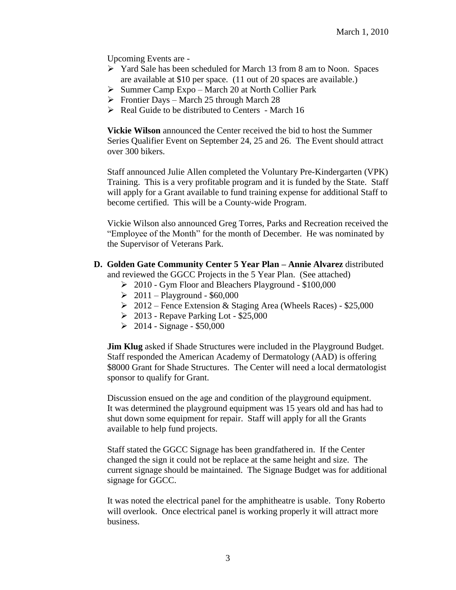Upcoming Events are -

- Yard Sale has been scheduled for March 13 from 8 am to Noon. Spaces are available at \$10 per space. (11 out of 20 spaces are available.)
- $\triangleright$  Summer Camp Expo March 20 at North Collier Park
- Frontier Days March 25 through March 28
- $\triangleright$  Real Guide to be distributed to Centers March 16

**Vickie Wilson** announced the Center received the bid to host the Summer Series Qualifier Event on September 24, 25 and 26. The Event should attract over 300 bikers.

Staff announced Julie Allen completed the Voluntary Pre-Kindergarten (VPK) Training. This is a very profitable program and it is funded by the State. Staff will apply for a Grant available to fund training expense for additional Staff to become certified. This will be a County-wide Program.

Vickie Wilson also announced Greg Torres, Parks and Recreation received the "Employee of the Month" for the month of December. He was nominated by the Supervisor of Veterans Park.

- **D. Golden Gate Community Center 5 Year Plan – Annie Alvarez** distributed and reviewed the GGCC Projects in the 5 Year Plan. (See attached)
	- $\geq 2010$  Gym Floor and Bleachers Playground \$100,000
	- $\geq 2011 \text{Playground} $60,000$
	- $\geq 2012$  Fence Extension & Staging Area (Wheels Races) \$25,000
	- $\geq 2013$  Repave Parking Lot \$25,000
	- $\geq 2014$  Signage \$50,000

**Jim Klug** asked if Shade Structures were included in the Playground Budget. Staff responded the American Academy of Dermatology (AAD) is offering \$8000 Grant for Shade Structures. The Center will need a local dermatologist sponsor to qualify for Grant.

Discussion ensued on the age and condition of the playground equipment. It was determined the playground equipment was 15 years old and has had to shut down some equipment for repair. Staff will apply for all the Grants available to help fund projects.

Staff stated the GGCC Signage has been grandfathered in. If the Center changed the sign it could not be replace at the same height and size. The current signage should be maintained. The Signage Budget was for additional signage for GGCC.

It was noted the electrical panel for the amphitheatre is usable. Tony Roberto will overlook. Once electrical panel is working properly it will attract more business.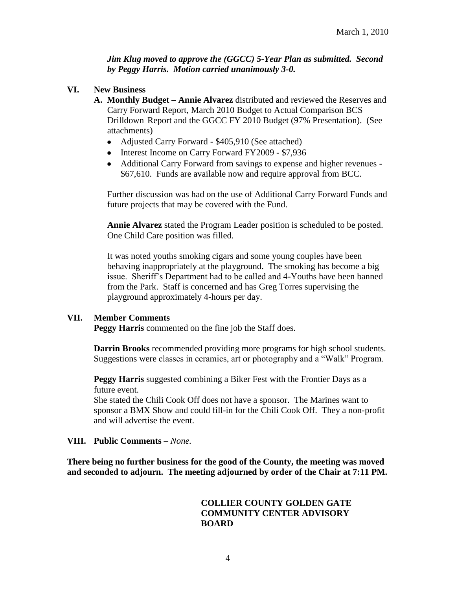*Jim Klug moved to approve the (GGCC) 5-Year Plan as submitted. Second by Peggy Harris. Motion carried unanimously 3-0.*

- **VI. New Business**
	- **A. Monthly Budget – Annie Alvarez** distributed and reviewed the Reserves and Carry Forward Report, March 2010 Budget to Actual Comparison BCS Drilldown Report and the GGCC FY 2010 Budget (97% Presentation). (See attachments)
		- Adjusted Carry Forward \$405,910 (See attached)
		- Interest Income on Carry Forward FY2009 \$7,936
		- Additional Carry Forward from savings to expense and higher revenues \$67,610. Funds are available now and require approval from BCC.

Further discussion was had on the use of Additional Carry Forward Funds and future projects that may be covered with the Fund.

**Annie Alvarez** stated the Program Leader position is scheduled to be posted. One Child Care position was filled.

It was noted youths smoking cigars and some young couples have been behaving inappropriately at the playground. The smoking has become a big issue. Sheriff's Department had to be called and 4-Youths have been banned from the Park. Staff is concerned and has Greg Torres supervising the playground approximately 4-hours per day.

## **VII. Member Comments**

**Peggy Harris** commented on the fine job the Staff does.

**Darrin Brooks** recommended providing more programs for high school students. Suggestions were classes in ceramics, art or photography and a "Walk" Program.

**Peggy Harris** suggested combining a Biker Fest with the Frontier Days as a future event.

She stated the Chili Cook Off does not have a sponsor. The Marines want to sponsor a BMX Show and could fill-in for the Chili Cook Off. They a non-profit and will advertise the event.

## **VIII. Public Comments** *– None.*

**There being no further business for the good of the County, the meeting was moved and seconded to adjourn. The meeting adjourned by order of the Chair at 7:11 PM.**

#### **COLLIER COUNTY GOLDEN GATE COMMUNITY CENTER ADVISORY BOARD**